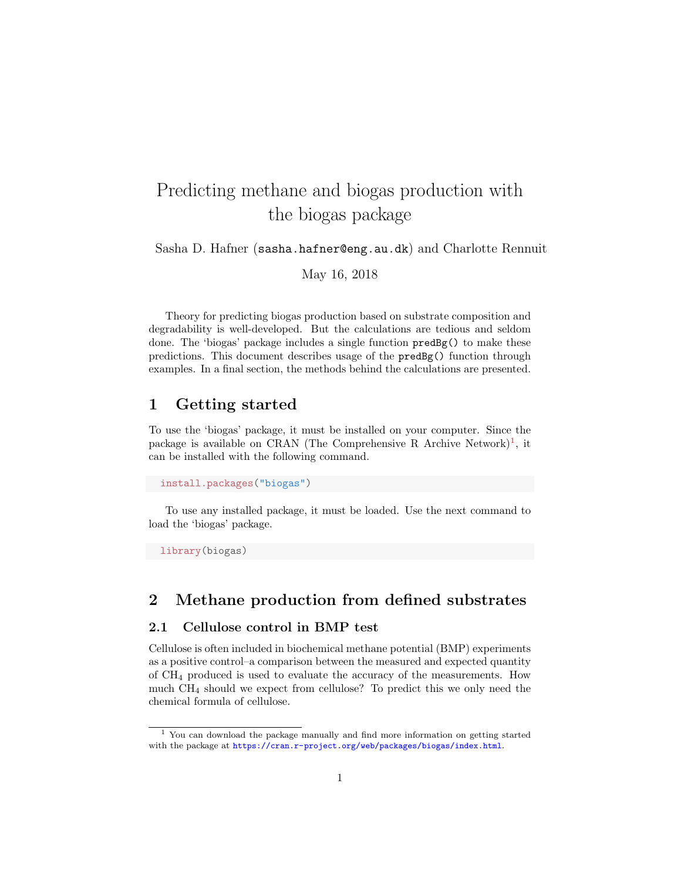# Predicting methane and biogas production with the biogas package

Sasha D. Hafner (sasha.hafner@eng.au.dk) and Charlotte Rennuit

May 16, 2018

Theory for predicting biogas production based on substrate composition and degradability is well-developed. But the calculations are tedious and seldom done. The 'biogas' package includes a single function  $predBg()$  to make these predictions. This document describes usage of the  $predBg()$  function through examples. In a final section, the methods behind the calculations are presented.

### 1 Getting started

To use the 'biogas' package, it must be installed on your computer. Since the package is available on CRAN (The Comprehensive R Archive Network)<sup>[1](#page-0-0)</sup>, it can be installed with the following command.

```
install.packages("biogas")
```
To use any installed package, it must be loaded. Use the next command to load the 'biogas' package.

library(biogas)

## 2 Methane production from defined substrates

#### 2.1 Cellulose control in BMP test

Cellulose is often included in biochemical methane potential (BMP) experiments as a positive control–a comparison between the measured and expected quantity of CH<sup>4</sup> produced is used to evaluate the accuracy of the measurements. How much CH<sup>4</sup> should we expect from cellulose? To predict this we only need the chemical formula of cellulose.

<span id="page-0-0"></span><sup>1</sup> You can download the package manually and find more information on getting started with the package at <https://cran.r-project.org/web/packages/biogas/index.html>.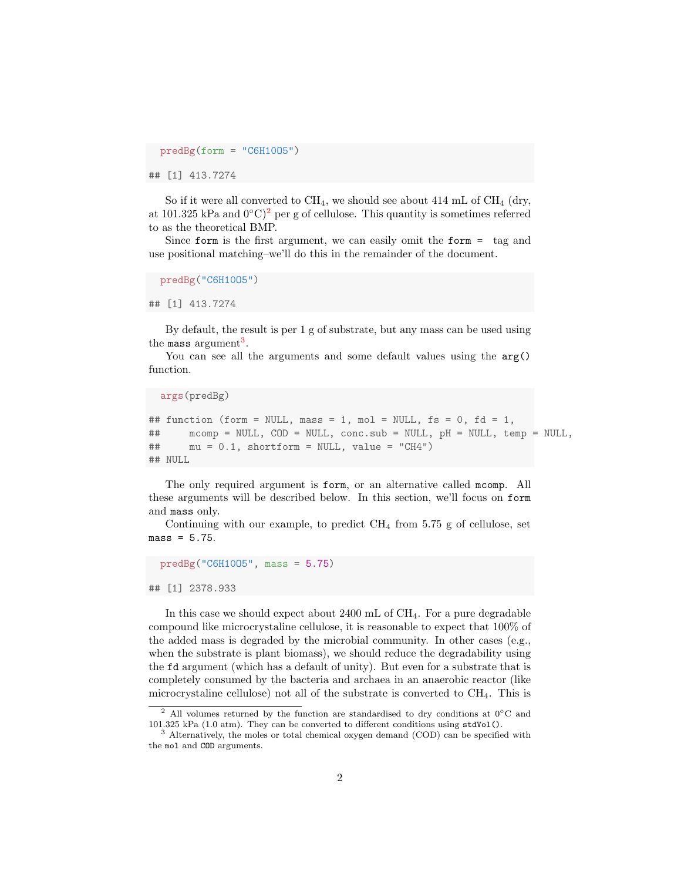```
predBg(form = "C6H1005")
```
## [1] 413.7274

So if it were all converted to  $\text{CH}_4$ , we should see about 414 mL of  $\text{CH}_4$  (dry, at 101.3[2](#page-1-0)5 kPa and  $0^{\circ}$ C)<sup>2</sup> per g of cellulose. This quantity is sometimes referred to as the theoretical BMP.

Since form is the first argument, we can easily omit the form = tag and use positional matching–we'll do this in the remainder of the document.

```
predBg("C6H10O5")
```

```
## [1] 413.7274
```
By default, the result is per 1 g of substrate, but any mass can be used using the mass argument<sup>[3](#page-1-1)</sup>.

You can see all the arguments and some default values using the  $arg()$ function.

```
args(predBg)
```

```
## function (form = NULL, mass = 1, mol = NULL, fs = 0, fd = 1,
## mcomp = NULL, COD = NULL, conc.sub = NULL, pH = NULL, temp = NULL,
\# mu = 0.1, shortform = NULL, value = "CH4")
## NULL
```
The only required argument is form, or an alternative called mcomp. All these arguments will be described below. In this section, we'll focus on form and mass only.

Continuing with our example, to predict  $CH_4$  from 5.75 g of cellulose, set  $mass = 5.75$ .

```
predBg("C6H10O5", mass = 5.75)
```
## [1] 2378.933

In this case we should expect about 2400 mL of CH<sub>4</sub>. For a pure degradable compound like microcrystaline cellulose, it is reasonable to expect that 100% of the added mass is degraded by the microbial community. In other cases (e.g., when the substrate is plant biomass), we should reduce the degradability using the fd argument (which has a default of unity). But even for a substrate that is completely consumed by the bacteria and archaea in an anaerobic reactor (like microcrystaline cellulose) not all of the substrate is converted to  $CH<sub>4</sub>$ . This is

<span id="page-1-0"></span><sup>2</sup> All volumes returned by the function are standardised to dry conditions at 0◦C and 101.325 kPa (1.0 atm). They can be converted to different conditions using stdVol().

<span id="page-1-1"></span><sup>&</sup>lt;sup>3</sup> Alternatively, the moles or total chemical oxygen demand (COD) can be specified with the mol and COD arguments.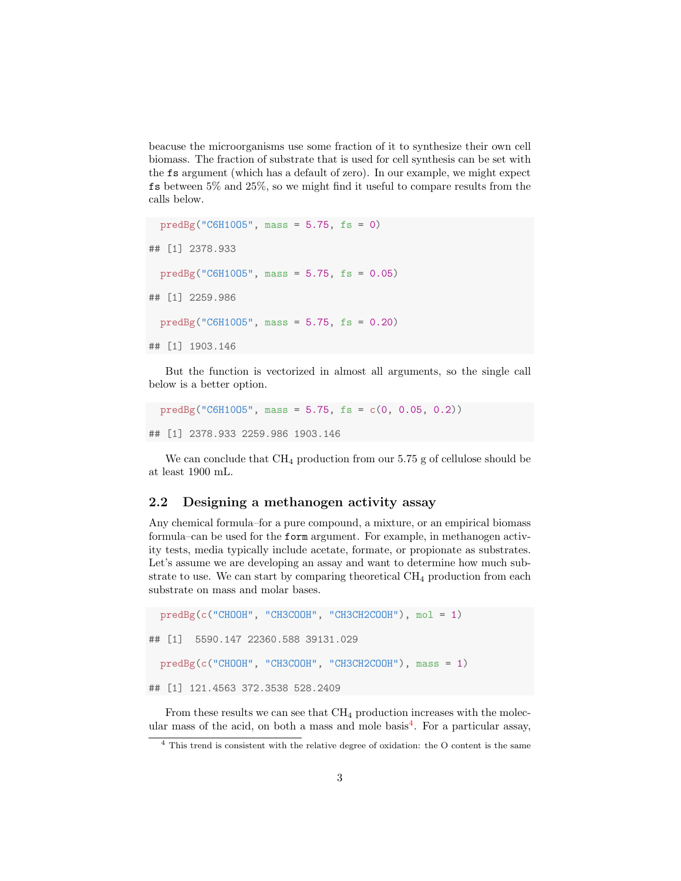beacuse the microorganisms use some fraction of it to synthesize their own cell biomass. The fraction of substrate that is used for cell synthesis can be set with the fs argument (which has a default of zero). In our example, we might expect fs between 5% and 25%, so we might find it useful to compare results from the calls below.

```
predBg("C6H10O5", mass = 5.75, fs = 0)
## [1] 2378.933
 predBg("C6H10O5", mass = 5.75, fs = 0.05)
## [1] 2259.986
 predBg("C6H10O5", mass = 5.75, fs = 0.20)
## [1] 1903.146
```
But the function is vectorized in almost all arguments, so the single call below is a better option.

```
predBg("C6H10O5", mass = 5.75, fs = c(0, 0.05, 0.2))
## [1] 2378.933 2259.986 1903.146
```
We can conclude that  $CH_4$  production from our 5.75 g of cellulose should be at least 1900 mL.

#### 2.2 Designing a methanogen activity assay

Any chemical formula–for a pure compound, a mixture, or an empirical biomass formula–can be used for the form argument. For example, in methanogen activity tests, media typically include acetate, formate, or propionate as substrates. Let's assume we are developing an assay and want to determine how much substrate to use. We can start by comparing theoretical  $CH_4$  production from each substrate on mass and molar bases.

```
predBg(c("CHOOH", "CH3COOH", "CH3CH2COOH"), mol = 1)
## [1] 5590.147 22360.588 39131.029
 predBg(c("CHOOH", "CH3COOH", "CH3CH2COOH"), mass = 1)
## [1] 121.4563 372.3538 528.2409
```
From these results we can see that  $CH_4$  production increases with the molec-ular mass of the acid, on both a mass and mole basis<sup>[4](#page-2-0)</sup>. For a particular assay,

<span id="page-2-0"></span><sup>4</sup> This trend is consistent with the relative degree of oxidation: the O content is the same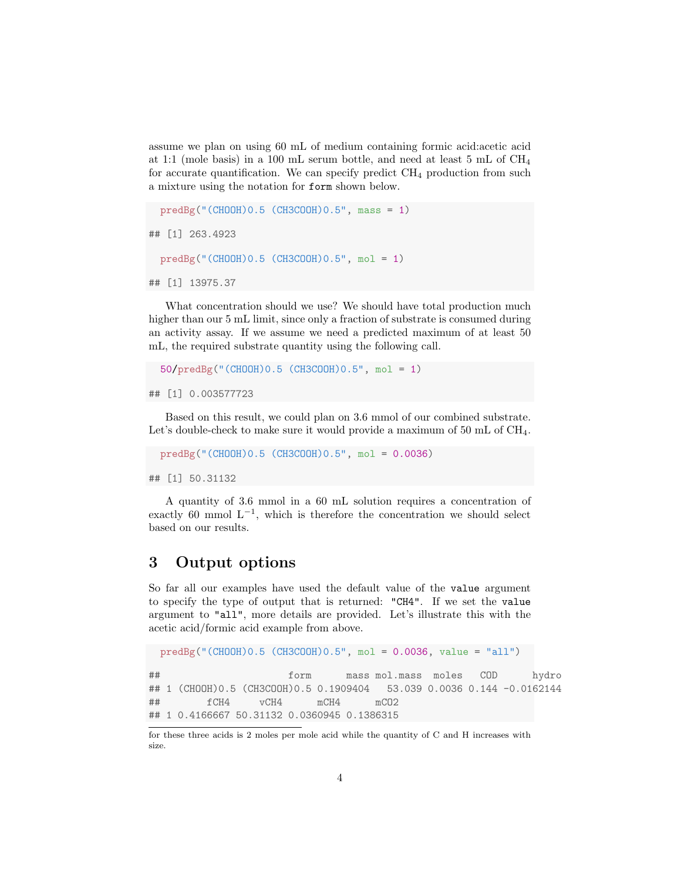assume we plan on using 60 mL of medium containing formic acid:acetic acid at 1:1 (mole basis) in a 100 mL serum bottle, and need at least 5 mL of CH<sup>4</sup> for accurate quantification. We can specify predict  $CH_4$  production from such a mixture using the notation for form shown below.

```
predBg("(CHOOH)0.5 (CH3COOH)0.5", mass = 1)
## [1] 263.4923
 predBg("(CHOOH)0.5 (CH3COOH)0.5", mol = 1)
## [1] 13975.37
```
What concentration should we use? We should have total production much higher than our 5 mL limit, since only a fraction of substrate is consumed during an activity assay. If we assume we need a predicted maximum of at least 50 mL, the required substrate quantity using the following call.

```
50/predBg("(CHOOH)0.5 (CH3COOH)0.5", mol = 1)
```
## [1] 0.003577723

Based on this result, we could plan on 3.6 mmol of our combined substrate. Let's double-check to make sure it would provide a maximum of 50 mL of  $\text{CH}_4$ .

```
predBg("(CHOOH)0.5 (CH3COOH)0.5", mol = 0.0036)
```
## [1] 50.31132

A quantity of 3.6 mmol in a 60 mL solution requires a concentration of exactly 60 mmol  $L^{-1}$ , which is therefore the concentration we should select based on our results.

## 3 Output options

So far all our examples have used the default value of the value argument to specify the type of output that is returned: "CH4". If we set the value argument to "all", more details are provided. Let's illustrate this with the acetic acid/formic acid example from above.

```
predBg("(CHOOH)0.5 (CH3COOH)0.5", mol = 0.0036, value = "all")
```
## form mass mol.mass moles COD hydro ## 1 (CHOOH)0.5 (CH3COOH)0.5 0.1909404 53.039 0.0036 0.144 -0.0162144 ## fCH4 vCH4 mCH4 mCO2 ## 1 0.4166667 50.31132 0.0360945 0.1386315

for these three acids is 2 moles per mole acid while the quantity of C and H increases with size.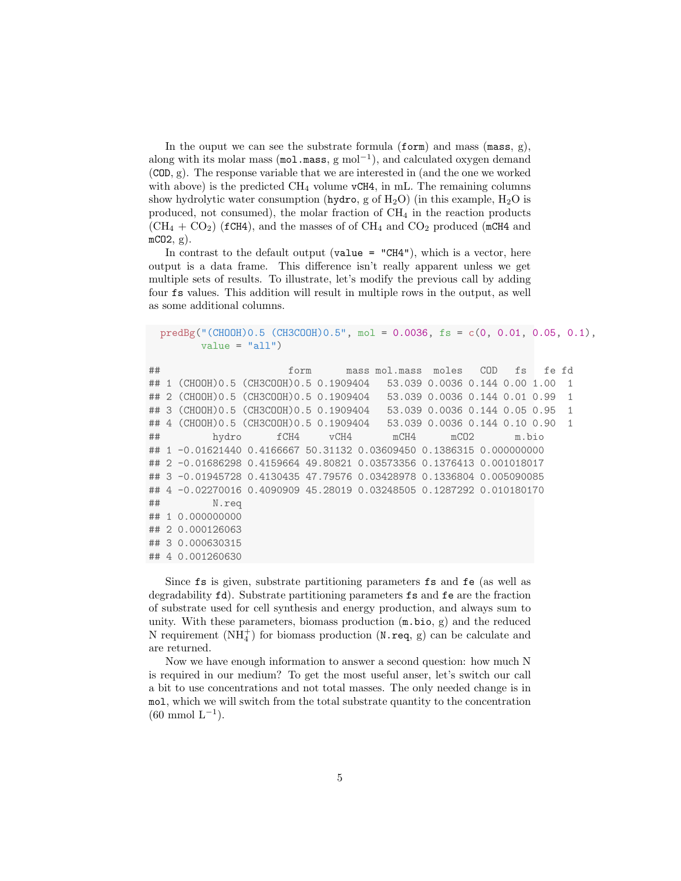In the ouput we can see the substrate formula  $(f \circ r m)$  and mass (mass, g), along with its molar mass (mol.mass, g mol<sup>-1</sup>), and calculated oxygen demand (COD, g). The response variable that we are interested in (and the one we worked with above) is the predicted  $\text{CH}_4$  volume vCH4, in mL. The remaining columns show hydrolytic water consumption (hydro, g of  $H_2O$ ) (in this example,  $H_2O$  is produced, not consumed), the molar fraction of CH<sup>4</sup> in the reaction products  $(CH_4 + CO_2)$  (fCH4), and the masses of of CH<sub>4</sub> and CO<sub>2</sub> produced (mCH4 and mCO2, g).

In contrast to the default output (value  $=$  "CH4"), which is a vector, here output is a data frame. This difference isn't really apparent unless we get multiple sets of results. To illustrate, let's modify the previous call by adding four fs values. This addition will result in multiple rows in the output, as well as some additional columns.

```
predBg("(CHOOH)0.5 (CH3COOH)0.5", mol = 0.0036, fs = c(0, 0.01, 0.05, 0.1),value = "all")
```

```
## form mass mol.mass moles COD fs fe fd
## 1 (CHOOH)0.5 (CH3COOH)0.5 0.1909404 53.039 0.0036 0.144 0.00 1.00 1
## 2 (CHOOH)0.5 (CH3COOH)0.5 0.1909404 53.039 0.0036 0.144 0.01 0.99 1
## 3 (CHOOH)0.5 (CH3COOH)0.5 0.1909404 53.039 0.0036 0.144 0.05 0.95 1
## 4 (CHOOH)0.5 (CH3COOH)0.5 0.1909404 53.039 0.0036 0.144 0.10 0.90 1
## hydro fCH4 vCH4 mCH4 mCO2 m.bio
## 1 -0.01621440 0.4166667 50.31132 0.03609450 0.1386315 0.000000000
## 2 -0.01686298 0.4159664 49.80821 0.03573356 0.1376413 0.001018017
## 3 -0.01945728 0.4130435 47.79576 0.03428978 0.1336804 0.005090085
## 4 -0.02270016 0.4090909 45.28019 0.03248505 0.1287292 0.010180170
## N.req
## 1 0.000000000
## 2 0.000126063
## 3 0.000630315
## 4 0.001260630
```
Since fs is given, substrate partitioning parameters fs and fe (as well as degradability fd). Substrate partitioning parameters fs and fe are the fraction of substrate used for cell synthesis and energy production, and always sum to unity. With these parameters, biomass production  $(m.\text{bio}, g)$  and the reduced N requirement  $(NH_4^+)$  for biomass production  $(N.\texttt{req}, g)$  can be calculate and are returned.

Now we have enough information to answer a second question: how much N is required in our medium? To get the most useful anser, let's switch our call a bit to use concentrations and not total masses. The only needed change is in mol, which we will switch from the total substrate quantity to the concentration  $(60 \text{ mmol L}^{-1}).$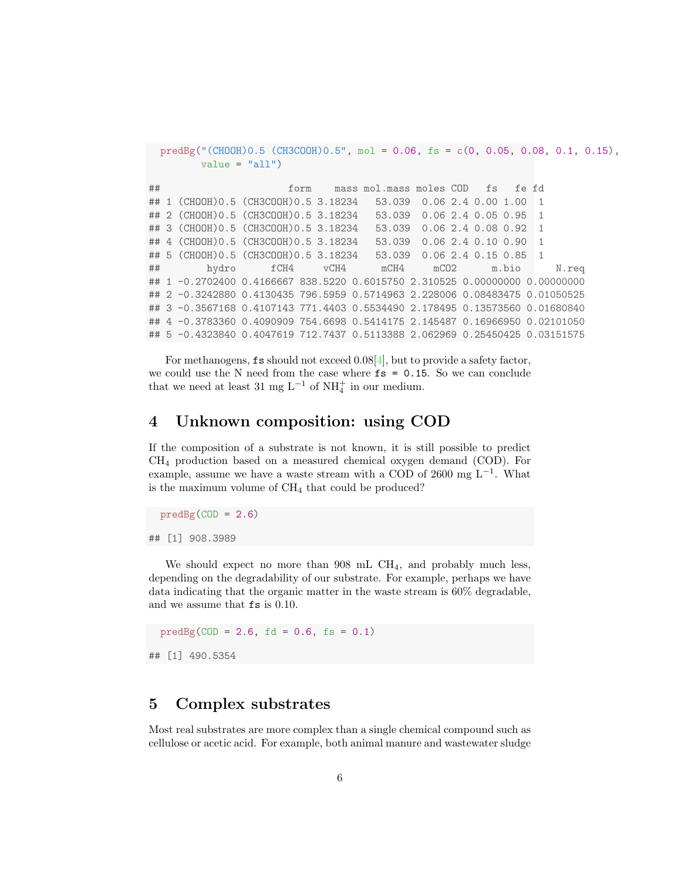```
predBg("(CHOOH)0.5 (CH3COOH)0.5", mol = 0.06, fs = c(0, 0.05, 0.08, 0.1, 0.15),
        value = "all")## form mass mol.mass moles COD fs fe fd
## 1 (CHOOH)0.5 (CH3COOH)0.5 3.18234 53.039 0.06 2.4 0.00 1.00 1
## 2 (CHOOH)0.5 (CH3COOH)0.5 3.18234 53.039 0.06 2.4 0.05 0.95 1
## 3 (CHOOH)0.5 (CH3COOH)0.5 3.18234 53.039 0.06 2.4 0.08 0.92 1
## 4 (CHOOH)0.5 (CH3COOH)0.5 3.18234 53.039 0.06 2.4 0.10 0.90 1
## 5 (CHOOH)0.5 (CH3COOH)0.5 3.18234 53.039 0.06 2.4 0.15 0.85 1
## hydro fCH4 vCH4 mCH4 mCO2 m.bio N.req
## 1 -0.2702400 0.4166667 838.5220 0.6015750 2.310525 0.00000000 0.00000000
## 2 -0.3242880 0.4130435 796.5959 0.5714963 2.228006 0.08483475 0.01050525
## 3 -0.3567168 0.4107143 771.4403 0.5534490 2.178495 0.13573560 0.01680840
## 4 -0.3783360 0.4090909 754.6698 0.5414175 2.145487 0.16966950 0.02101050
## 5 -0.4323840 0.4047619 712.7437 0.5113388 2.062969 0.25450425 0.03151575
```
For methanogens,  $f$ s should not exceed  $0.08[4]$  $0.08[4]$ , but to provide a safety factor, we could use the N need from the case where fs = 0.15. So we can conclude that we need at least 31 mg  $L^{-1}$  of NH<sup>+</sup><sub>4</sub> in our medium.

#### 4 Unknown composition: using COD

If the composition of a substrate is not known, it is still possible to predict CH<sup>4</sup> production based on a measured chemical oxygen demand (COD). For example, assume we have a waste stream with a COD of 2600 mg  $L^{-1}$ . What is the maximum volume of  $CH<sub>4</sub>$  that could be produced?

 $predBg(COD = 2.6)$ 

## [1] 908.3989

We should expect no more than  $908$  mL CH<sub>4</sub>, and probably much less, depending on the degradability of our substrate. For example, perhaps we have data indicating that the organic matter in the waste stream is 60% degradable, and we assume that fs is 0.10.

 $predBg(COD = 2.6, fd = 0.6, fs = 0.1)$ ## [1] 490.5354

### 5 Complex substrates

Most real substrates are more complex than a single chemical compound such as cellulose or acetic acid. For example, both animal manure and wastewater sludge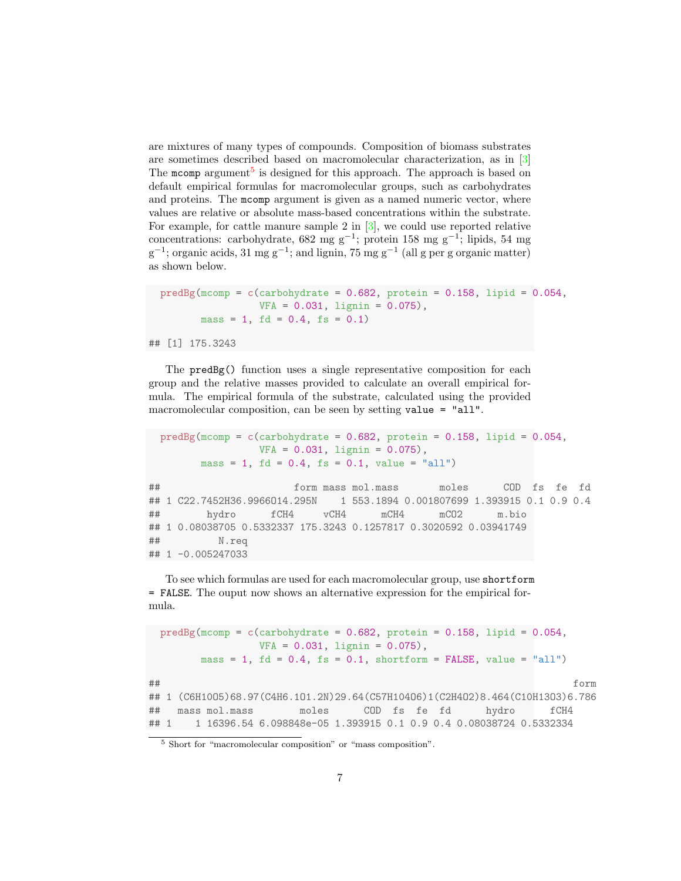are mixtures of many types of compounds. Composition of biomass substrates are sometimes described based on macromolecular characterization, as in [\[3\]](#page-14-1) The  $m$ comp argument<sup>[5](#page-6-0)</sup> is designed for this approach. The approach is based on default empirical formulas for macromolecular groups, such as carbohydrates and proteins. The mcomp argument is given as a named numeric vector, where values are relative or absolute mass-based concentrations within the substrate. For example, for cattle manure sample 2 in [\[3\]](#page-14-1), we could use reported relative concentrations: carbohydrate, 682 mg g<sup>-1</sup>; protein 158 mg g<sup>-1</sup>; lipids, 54 mg  $g^{-1}$ ; organic acids, 31 mg  $g^{-1}$ ; and lignin, 75 mg  $g^{-1}$  (all g per g organic matter) as shown below.

```
predBg(mcomp = c(carbohydrate = 0.682, protein = 0.158, lipid = 0.054,VFA = 0.031, lignin = 0.075),
        mass = 1, fd = 0.4, fs = 0.1## [1] 175.3243
```
The predBg() function uses a single representative composition for each group and the relative masses provided to calculate an overall empirical formula. The empirical formula of the substrate, calculated using the provided macromolecular composition, can be seen by setting value = "all".

```
predBg(mcomp = c(carbohydrate = 0.682, protein = 0.158, lipid = 0.054,VFA = 0.031, lignin = 0.075),
       mass = 1, fd = 0.4, fs = 0.1, value = "all")## form mass mol.mass moles COD fs fe fd
## 1 C22.7452H36.9966O14.295N 1 553.1894 0.001807699 1.393915 0.1 0.9 0.4
## hydro fCH4 vCH4 mCH4 mCO2 m.bio
## 1 0.08038705 0.5332337 175.3243 0.1257817 0.3020592 0.03941749
## N.req
## 1 -0.005247033
```
To see which formulas are used for each macromolecular group, use shortform = FALSE. The ouput now shows an alternative expression for the empirical formula.

```
predBg(mcomp = c(carbohydrate = 0.682, protein = 0.158, lipid = 0.054,VFA = 0.031, lignin = 0.075),
      mass = 1, fd = 0.4, fs = 0.1, shortform = FALSE, value = "all")
## form
## 1 (C6H10O5)68.97(C4H6.1O1.2N)29.64(C57H104O6)1(C2H4O2)8.464(C10H13O3)6.786
## mass mol.mass moles COD fs fe fd hydro fCH4
## 1 1 16396.54 6.098848e-05 1.393915 0.1 0.9 0.4 0.08038724 0.5332334
```

```
^5 Short for "macromolecular composition" or "mass composition".
```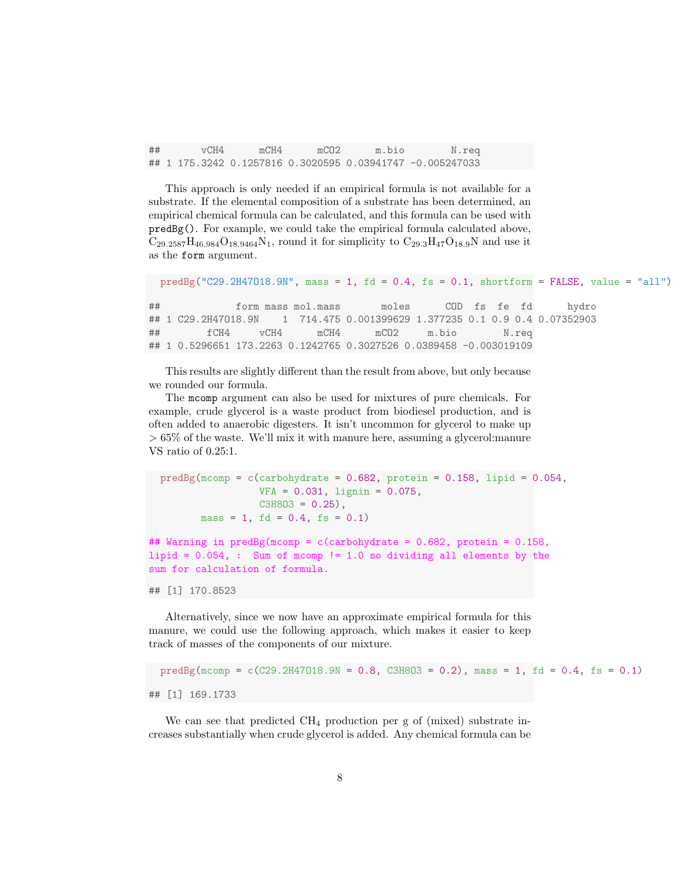## vCH4 mCH4 mCO2 m.bio N.req ## 1 175.3242 0.1257816 0.3020595 0.03941747 -0.005247033

This approach is only needed if an empirical formula is not available for a substrate. If the elemental composition of a substrate has been determined, an empirical chemical formula can be calculated, and this formula can be used with predBg(). For example, we could take the empirical formula calculated above,  $C_{29.2587}H_{46.984}O_{18.9464}N_1$ , round it for simplicity to  $C_{29.3}H_{47}O_{18.9}N$  and use it as the form argument.

```
predBg("C29.2H47O18.9N", mass = 1, fd = 0.4, fs = 0.1, shortform = FALSE, value = "all")
```
## form mass mol.mass moles COD fs fe fd hydro ## 1 C29.2H47O18.9N 1 714.475 0.001399629 1.377235 0.1 0.9 0.4 0.07352903 ## fCH4 vCH4 mCH4 mCO2 m.bio N.req ## 1 0.5296651 173.2263 0.1242765 0.3027526 0.0389458 -0.003019109

This results are slightly different than the result from above, but only because we rounded our formula.

The mcomp argument can also be used for mixtures of pure chemicals. For example, crude glycerol is a waste product from biodiesel production, and is often added to anaerobic digesters. It isn't uncommon for glycerol to make up > 65% of the waste. We'll mix it with manure here, assuming a glycerol:manure VS ratio of 0.25:1.

```
predBg(mcomp = c(carbohydrate = 0.682, protein = 0.158, lipid = 0.054,VFA = 0.031, lignin = 0.075,
                   C3H803 = 0.25,
        mass = 1, fd = 0.4, fs = 0.1## Warning in predBg(mcomp = c(carbohydrate = 0.682, protein = 0.158,
lipid = 0.054, : Sum of mcomp != 1.0 so dividing all elements by the
sum for calculation of formula.
```
## [1] 170.8523

Alternatively, since we now have an approximate empirical formula for this manure, we could use the following approach, which makes it easier to keep track of masses of the components of our mixture.

 $predBg(mcomp = c(C29.2H47018.9N = 0.8, C3H803 = 0.2), mass = 1, fd = 0.4, fs = 0.1)$ ## [1] 169.1733

We can see that predicted  $CH_4$  production per g of (mixed) substrate increases substantially when crude glycerol is added. Any chemical formula can be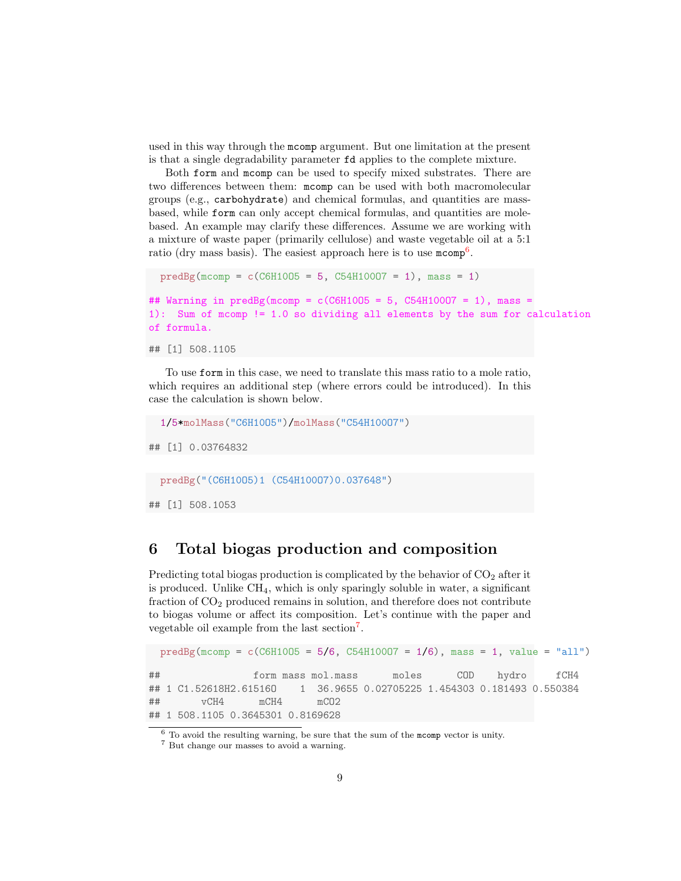used in this way through the mcomp argument. But one limitation at the present is that a single degradability parameter fd applies to the complete mixture.

Both form and mcomp can be used to specify mixed substrates. There are two differences between them: mcomp can be used with both macromolecular groups (e.g., carbohydrate) and chemical formulas, and quantities are massbased, while form can only accept chemical formulas, and quantities are molebased. An example may clarify these differences. Assume we are working with a mixture of waste paper (primarily cellulose) and waste vegetable oil at a 5:1 ratio (dry mass basis). The easiest approach here is to use  $mcomp<sup>6</sup>$  $mcomp<sup>6</sup>$  $mcomp<sup>6</sup>$ .

```
predBg(mcomp = c(C6H1005 = 5, C54H10007 = 1), mass = 1)## Warning in predBg(mcomp = c(C6H1005 = 5, C54H10007 = 1), mass =
1): Sum of mcomp != 1.0 so dividing all elements by the sum for calculation
of formula.
```
## [1] 508.1105

To use form in this case, we need to translate this mass ratio to a mole ratio, which requires an additional step (where errors could be introduced). In this case the calculation is shown below.

```
1/5*molMass("C6H10O5")/molMass("C54H100O7")
## [1] 0.03764832
```

```
predBg("(C6H10O5)1 (C54H100O7)0.037648")
```
## [1] 508.1053

#### 6 Total biogas production and composition

Predicting total biogas production is complicated by the behavior of  $CO<sub>2</sub>$  after it is produced. Unlike  $CH_4$ , which is only sparingly soluble in water, a significant fraction of CO<sup>2</sup> produced remains in solution, and therefore does not contribute to biogas volume or affect its composition. Let's continue with the paper and vegetable oil example from the last section[7](#page-8-1) .

```
predBg(mcomp = c(C6H1005 = 5/6, C54H10007 = 1/6), mass = 1, value = "all")## form mass mol.mass moles COD hydro fCH4
## 1 C1.52618H2.61516O 1 36.9655 0.02705225 1.454303 0.181493 0.550384
## vCH4 mCH4 mCO2
## 1 508.1105 0.3645301 0.8169628
```
<span id="page-8-0"></span><sup>6</sup> To avoid the resulting warning, be sure that the sum of the mcomp vector is unity.

<span id="page-8-1"></span><sup>7</sup> But change our masses to avoid a warning.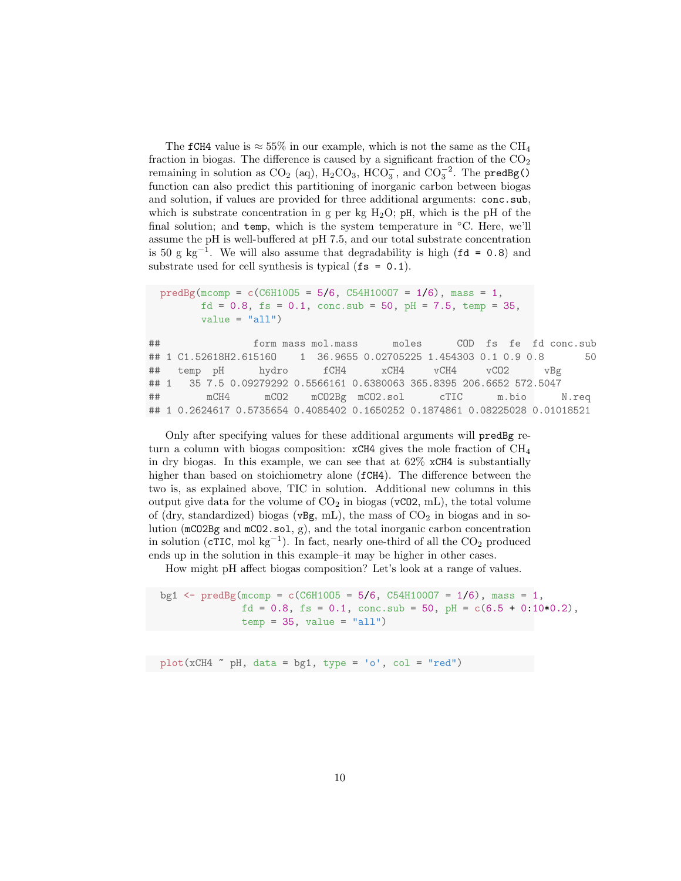The fCH4 value is  $\approx 55\%$  in our example, which is not the same as the CH<sub>4</sub> fraction in biogas. The difference is caused by a significant fraction of the  $CO<sub>2</sub>$ remaining in solution as  $CO_2$  (aq),  $H_2CO_3$ ,  $HCO_3^-$ , and  $CO_3^{-2}$ . The predBg() function can also predict this partitioning of inorganic carbon between biogas and solution, if values are provided for three additional arguments:  $\text{conc.sub}$ , which is substrate concentration in g per kg  $H_2O$ ; pH, which is the pH of the final solution; and temp, which is the system temperature in  $°C$ . Here, we'll assume the pH is well-buffered at pH 7.5, and our total substrate concentration is 50 g kg<sup>-1</sup>. We will also assume that degradability is high ( $fd = 0.8$ ) and substrate used for cell synthesis is typical  $(fs = 0.1)$ .

```
predBg(mcomp = c(C6H1005 = 5/6, C54H10007 = 1/6), mass = 1,fd = 0.8, fs = 0.1, conc.sub = 50, pH = 7.5, temp = 35,
       value = "all")
```
## form mass mol.mass moles COD fs fe fd conc.sub ## 1 C1.52618H2.61516O 1 36.9655 0.02705225 1.454303 0.1 0.9 0.8 50 ## temp pH hydro fCH4 xCH4 vCH4 vCO2 vBg ## 1 35 7.5 0.09279292 0.5566161 0.6380063 365.8395 206.6652 572.5047 ## mCH4 mCO2 mCO2Bg mCO2.sol cTIC m.bio N.req ## 1 0.2624617 0.5735654 0.4085402 0.1650252 0.1874861 0.08225028 0.01018521

Only after specifying values for these additional arguments will predBg return a column with biogas composition:  $\mathbf{x}$ CH4 gives the mole fraction of CH<sub>4</sub> in dry biogas. In this example, we can see that at 62% xCH4 is substantially higher than based on stoichiometry alone ( $fCH4$ ). The difference between the two is, as explained above, TIC in solution. Additional new columns in this output give data for the volume of  $CO<sub>2</sub>$  in biogas ( $vCO<sub>2</sub>$ , mL), the total volume of (dry, standardized) biogas ( $vBg, mL$ ), the mass of  $CO<sub>2</sub>$  in biogas and in solution (mCO2Bg and mCO2.sol, g), and the total inorganic carbon concentration in solution ( $cTIC$ , mol kg<sup>-1</sup>). In fact, nearly one-third of all the  $CO<sub>2</sub>$  produced ends up in the solution in this example–it may be higher in other cases.

How might pH affect biogas composition? Let's look at a range of values.

```
bg1 <- predBg(mcomp = c(C6H1005 = 5/6, C54H10007 = 1/6), mass = 1,fd = 0.8, fs = 0.1, conc.sub = 50, pH = c(6.5 + 0.10*0.2),
             temp = 35, value = "all")
```
 $plot(xCH4 \text{ o }pH, data = bg1, type = 'o', col = "red")$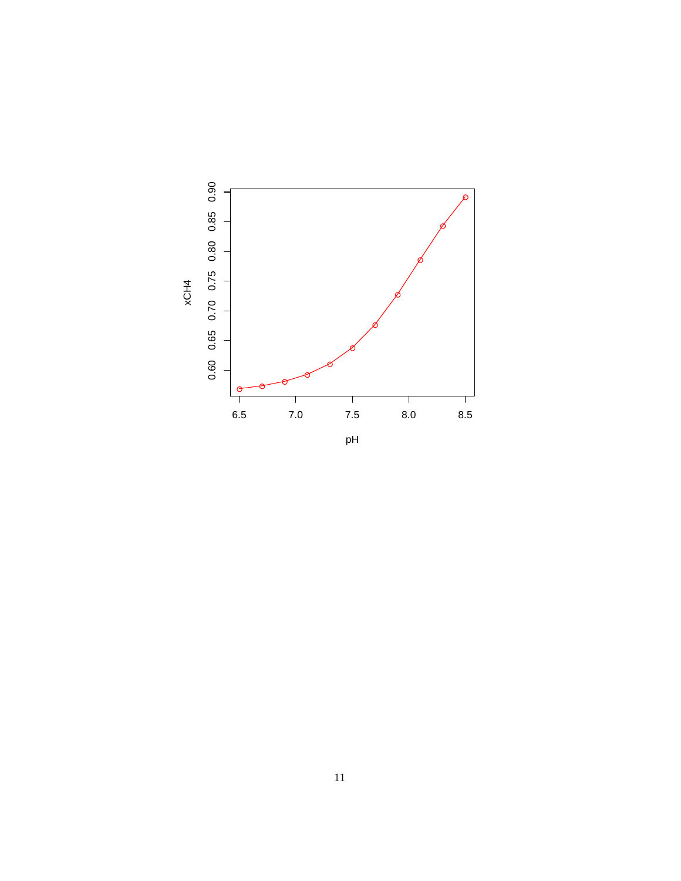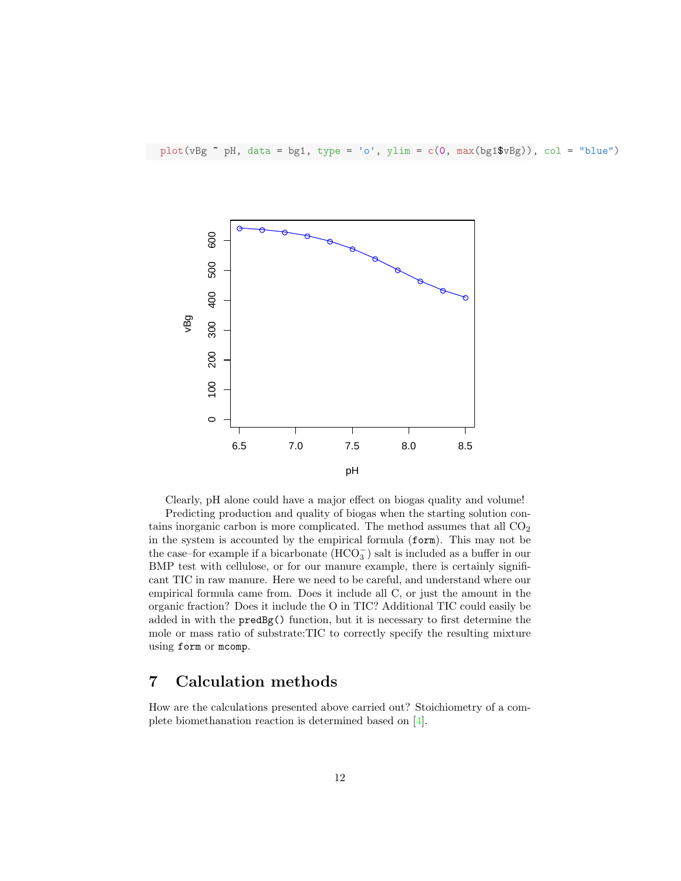

Clearly, pH alone could have a major effect on biogas quality and volume!

Predicting production and quality of biogas when the starting solution contains inorganic carbon is more complicated. The method assumes that all  $CO<sub>2</sub>$ in the system is accounted by the empirical formula (form). This may not be the case–for example if a bicarbonate  $(HCO<sub>3</sub><sup>-</sup>)$  salt is included as a buffer in our BMP test with cellulose, or for our manure example, there is certainly significant TIC in raw manure. Here we need to be careful, and understand where our empirical formula came from. Does it include all C, or just the amount in the organic fraction? Does it include the O in TIC? Additional TIC could easily be added in with the predBg() function, but it is necessary to first determine the mole or mass ratio of substrate:TIC to correctly specify the resulting mixture using form or mcomp.

## 7 Calculation methods

How are the calculations presented above carried out? Stoichiometry of a complete biomethanation reaction is determined based on [\[4\]](#page-14-0).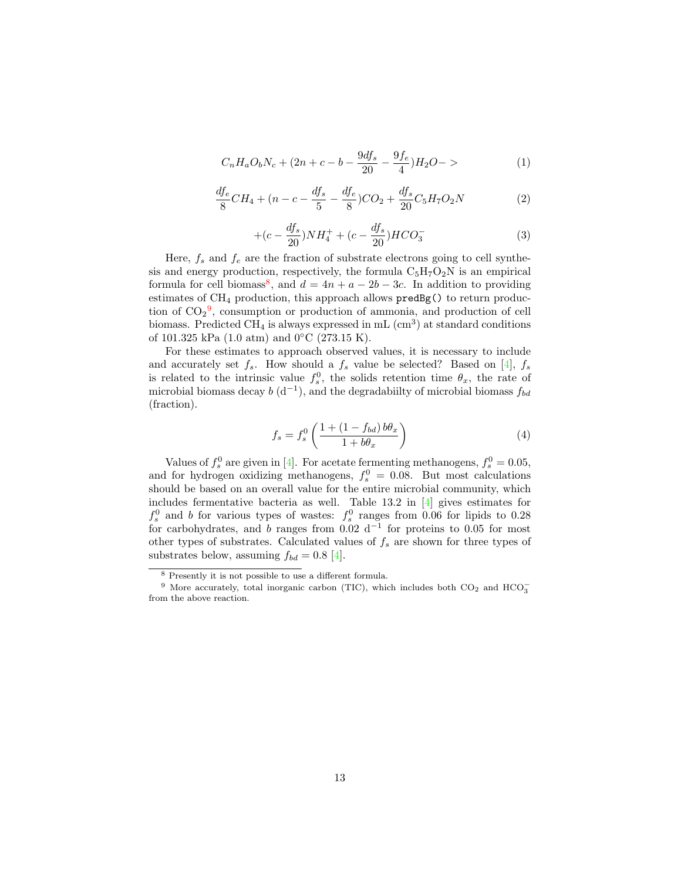$$
C_nH_aO_bN_c + (2n + c - b - \frac{9df_s}{20} - \frac{9f_e}{4})H_2O \quad (1)
$$

$$
\frac{df_e}{8}CH_4 + (n - c - \frac{df_s}{5} - \frac{df_e}{8})CO_2 + \frac{df_s}{20}C_5H_7O_2N\tag{2}
$$

$$
+(c-\frac{df_s}{20})NH_4^+ + (c-\frac{df_s}{20})HCO_3^- \eqno{(3)}
$$

Here,  $f_s$  and  $f_e$  are the fraction of substrate electrons going to cell synthesis and energy production, respectively, the formula  $C_5H_7O_2N$  is an empirical formula for cell biomass<sup>[8](#page-12-0)</sup>, and  $d = 4n + a - 2b - 3c$ . In addition to providing estimates of CH<sub>4</sub> production, this approach allows predBg() to return production of  $CO<sub>2</sub><sup>9</sup>$  $CO<sub>2</sub><sup>9</sup>$  $CO<sub>2</sub><sup>9</sup>$ , consumption or production of ammonia, and production of cell biomass. Predicted CH<sub>4</sub> is always expressed in mL  $\text{(cm}^3\text{)}$  at standard conditions of 101.325 kPa  $(1.0 \text{ atm})$  and  $0\degree$ C  $(273.15 \text{ K})$ .

For these estimates to approach observed values, it is necessary to include and accurately set  $f_s$ . How should a  $f_s$  value be selected? Based on [\[4\]](#page-14-0),  $f_s$ is related to the intrinsic value  $f_s^0$ , the solids retention time  $\theta_x$ , the rate of microbial biomass decay  $b(d^{-1})$ , and the degradabiilty of microbial biomass  $f_{bd}$ (fraction).

$$
f_s = f_s^0 \left( \frac{1 + (1 - f_{bd}) b\theta_x}{1 + b\theta_x} \right) \tag{4}
$$

Values of  $f_s^0$  are given in [\[4\]](#page-14-0). For acetate fermenting methanogens,  $f_s^0 = 0.05$ , and for hydrogen oxidizing methanogens,  $f_s^0 = 0.08$ . But most calculations should be based on an overall value for the entire microbial community, which includes fermentative bacteria as well. Table 13.2 in [\[4\]](#page-14-0) gives estimates for  $f_s^0$  and b for various types of wastes:  $f_s^0$  ranges from 0.06 for lipids to 0.28 for carbohydrates, and b ranges from  $0.02 \text{ d}^{-1}$  for proteins to  $0.05$  for most other types of substrates. Calculated values of  $f_s$  are shown for three types of substrates below, assuming  $f_{bd} = 0.8$  [\[4\]](#page-14-0).

<span id="page-12-1"></span><span id="page-12-0"></span><sup>8</sup> Presently it is not possible to use a different formula.

 $^{9}$  More accurately, total inorganic carbon (TIC), which includes both CO<sub>2</sub> and HCO $_3^$ from the above reaction.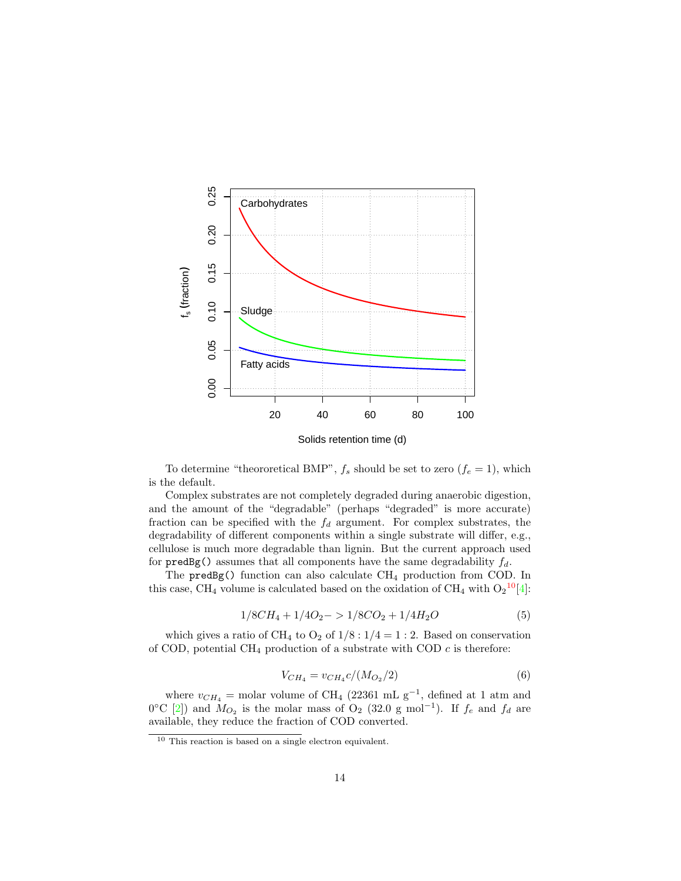

Solids retention time (d)

To determine "theororetical BMP",  $f_s$  should be set to zero  $(f_e = 1)$ , which is the default.

Complex substrates are not completely degraded during anaerobic digestion, and the amount of the "degradable" (perhaps "degraded" is more accurate) fraction can be specified with the  $f_d$  argument. For complex substrates, the degradability of different components within a single substrate will differ, e.g., cellulose is much more degradable than lignin. But the current approach used for  $predBg()$  assumes that all components have the same degradability  $f_d$ .

The predBg() function can also calculate  $\text{CH}_4$  production from COD. In this case, CH<sub>4</sub> volume is calculated based on the oxidation of CH<sub>4</sub> with  $O_2^{-10}[4]$  $O_2^{-10}[4]$  $O_2^{-10}[4]$  $O_2^{-10}[4]$ :

$$
1/8CH_4 + 1/4O_2 \rightharpoonup 1/8CO_2 + 1/4H_2O \tag{5}
$$

which gives a ratio of CH<sub>4</sub> to O<sub>2</sub> of  $1/8:1/4=1:2$ . Based on conservation of COD, potential CH<sub>4</sub> production of a substrate with COD  $c$  is therefore:

$$
V_{CH_4} = v_{CH_4}c/(M_{O_2}/2)
$$
\n(6)

where  $v_{CH_4}$  = molar volume of CH<sub>4</sub> (22361 mL g<sup>-1</sup>, defined at 1 atm and  $0^{\circ}$ C [\[2\]](#page-14-2)) and  $M_{O_2}$  is the molar mass of  $O_2$  (32.0 g mol<sup>-1</sup>). If  $f_e$  and  $f_d$  are available, they reduce the fraction of COD converted.

<span id="page-13-0"></span><sup>10</sup> This reaction is based on a single electron equivalent.